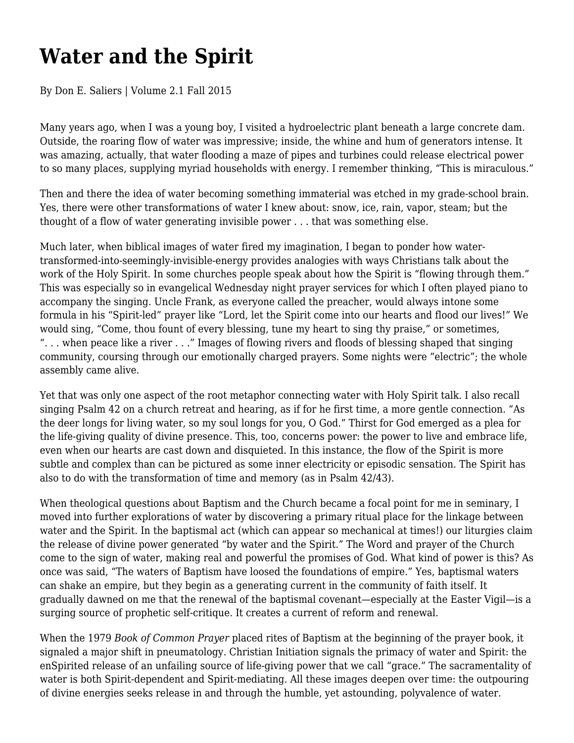## **Water and the Spirit**

By Don E. Saliers | Volume 2.1 Fall 2015

Many years ago, when I was a young boy, I visited a hydroelectric plant beneath a large concrete dam. Outside, the roaring flow of water was impressive; inside, the whine and hum of generators intense. It was amazing, actually, that water flooding a maze of pipes and turbines could release electrical power to so many places, supplying myriad households with energy. I remember thinking, "This is miraculous."

Then and there the idea of water becoming something immaterial was etched in my grade-school brain. Yes, there were other transformations of water I knew about: snow, ice, rain, vapor, steam; but the thought of a flow of water generating invisible power . . . that was something else.

Much later, when biblical images of water fired my imagination, I began to ponder how watertransformed-into-seemingly-invisible-energy provides analogies with ways Christians talk about the work of the Holy Spirit. In some churches people speak about how the Spirit is "flowing through them." This was especially so in evangelical Wednesday night prayer services for which I often played piano to accompany the singing. Uncle Frank, as everyone called the preacher, would always intone some formula in his "Spirit-led" prayer like "Lord, let the Spirit come into our hearts and flood our lives!" We would sing, "Come, thou fount of every blessing, tune my heart to sing thy praise," or sometimes, ". . . when peace like a river . . ." Images of flowing rivers and floods of blessing shaped that singing community, coursing through our emotionally charged prayers. Some nights were "electric"; the whole assembly came alive.

Yet that was only one aspect of the root metaphor connecting water with Holy Spirit talk. I also recall singing Psalm 42 on a church retreat and hearing, as if for he first time, a more gentle connection. "As the deer longs for living water, so my soul longs for you, O God." Thirst for God emerged as a plea for the life-giving quality of divine presence. This, too, concerns power: the power to live and embrace life, even when our hearts are cast down and disquieted. In this instance, the flow of the Spirit is more subtle and complex than can be pictured as some inner electricity or episodic sensation. The Spirit has also to do with the transformation of time and memory (as in Psalm 42/43).

When theological questions about Baptism and the Church became a focal point for me in seminary, I moved into further explorations of water by discovering a primary ritual place for the linkage between water and the Spirit. In the baptismal act (which can appear so mechanical at times!) our liturgies claim the release of divine power generated "by water and the Spirit." The Word and prayer of the Church come to the sign of water, making real and powerful the promises of God. What kind of power is this? As once was said, "The waters of Baptism have loosed the foundations of empire." Yes, baptismal waters can shake an empire, but they begin as a generating current in the community of faith itself. It gradually dawned on me that the renewal of the baptismal covenant—especially at the Easter Vigil—is a surging source of prophetic self-critique. It creates a current of reform and renewal.

When the 1979 *Book of Common Prayer* placed rites of Baptism at the beginning of the prayer book, it signaled a major shift in pneumatology. Christian Initiation signals the primacy of water and Spirit: the enSpirited release of an unfailing source of life-giving power that we call "grace." The sacramentality of water is both Spirit-dependent and Spirit-mediating. All these images deepen over time: the outpouring of divine energies seeks release in and through the humble, yet astounding, polyvalence of water.